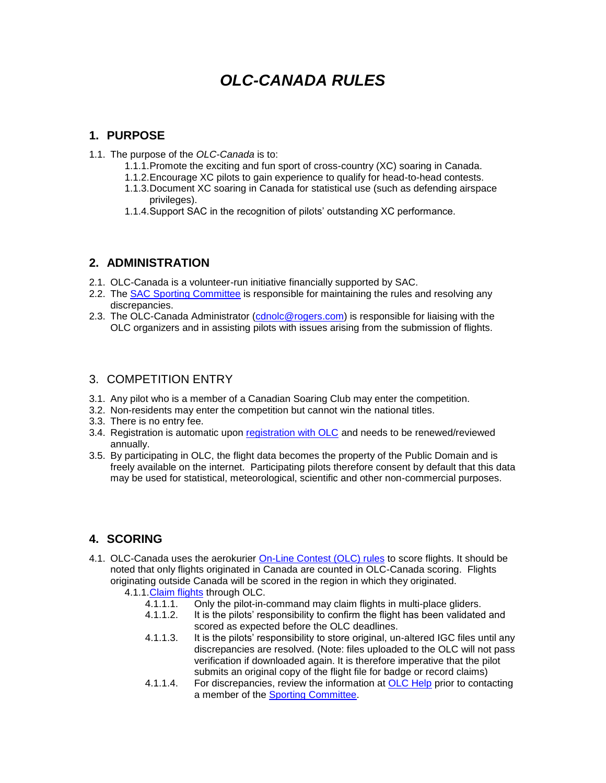# *OLC-CANADA RULES*

### **1. PURPOSE**

- 1.1. The purpose of the *OLC-Canada* is to:
	- 1.1.1.Promote the exciting and fun sport of cross-country (XC) soaring in Canada.
	- 1.1.2.Encourage XC pilots to gain experience to qualify for head-to-head contests.
	- 1.1.3.Document XC soaring in Canada for statistical use (such as defending airspace privileges).
	- 1.1.4.Support SAC in the recognition of pilots' outstanding XC performance.

## **2. ADMINISTRATION**

- 2.1. OLC-Canada is a volunteer-run initiative financially supported by SAC.
- 2.2. The **SAC Sporting Committee** is responsible for maintaining the rules and resolving any discrepancies.
- 2.3. The OLC-Canada Administrator [\(cdnolc@rogers.com\)](mailto:cdnolc@rogers.com) is responsible for liaising with the OLC organizers and in assisting pilots with issues arising from the submission of flights.

#### 3. COMPETITION ENTRY

- 3.1. Any pilot who is a member of a Canadian Soaring Club may enter the competition.
- 3.2. Non-residents may enter the competition but cannot win the national titles.
- 3.3. There is no entry fee.
- 3.4. Registration is automatic upon [registration with OLC](http://www3.onlinecontest.org/olc-2.0/gliding/memberadmin.html) and needs to be renewed/reviewed annually.
- 3.5. By participating in OLC, the flight data becomes the property of the Public Domain and is freely available on the internet. Participating pilots therefore consent by default that this data may be used for statistical, meteorological, scientific and other non-commercial purposes.

# **4. SCORING**

- 4.1. OLC-Canada uses the aerokurier [On-Line Contest \(OLC\) rules](http://www3.onlinecontest.org/olc-2.0/gliding/plainJsp.html?prefix_jsp=rules#olc,league) to score flights. It should be noted that only flights originated in Canada are counted in OLC-Canada scoring. Flights originating outside Canada will be scored in the region in which they originated.
	- 4.1.1[.Claim flights](http://www3.onlinecontest.org/olc-2.0/gliding/olc.html?_flowId=publish-flight-flow&claimType=glider) through OLC.
		- 4.1.1.1. Only the pilot-in-command may claim flights in multi-place gliders.
		- 4.1.1.2. It is the pilots' responsibility to confirm the flight has been validated and scored as expected before the OLC deadlines.
		- 4.1.1.3. It is the pilots' responsibility to store original, un-altered IGC files until any discrepancies are resolved. (Note: files uploaded to the OLC will not pass verification if downloaded again. It is therefore imperative that the pilot submits an original copy of the flight file for badge or record claims)
		- 4.1.1.4. For discrepancies, review the information at [OLC Help](http://www3.onlinecontest.org/olc-2.0/gliding/plainJsp.html?prefix_jsp=help) prior to contacting a member of the [Sporting Committee.](http://www.sac.ca/index.php/en/home-all/contacts/committees)